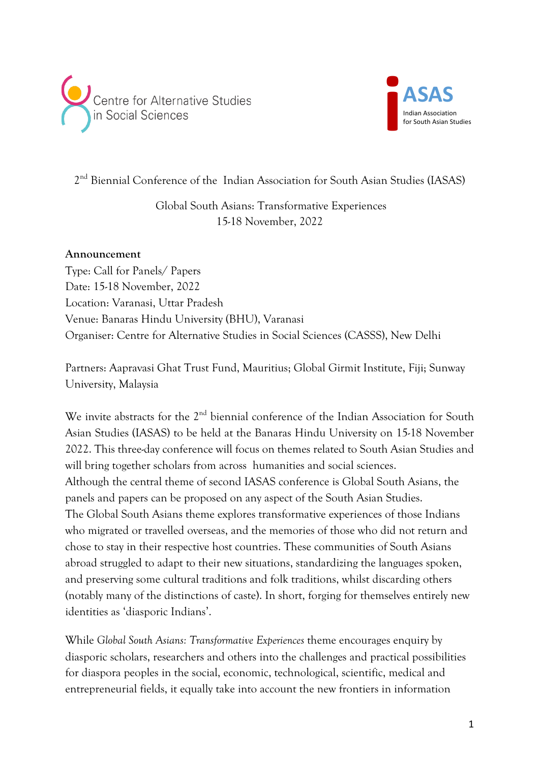



2<sup>nd</sup> Biennial Conference of the Indian Association for South Asian Studies (IASAS)

Global South Asians: Transformative Experiences 15-18 November, 2022

## **Announcement**

Type: Call for Panels/ Papers Date: 15-18 November, 2022 Location: Varanasi, Uttar Pradesh Venue: Banaras Hindu University (BHU), Varanasi Organiser: Centre for Alternative Studies in Social Sciences (CASSS), New Delhi

Partners: Aapravasi Ghat Trust Fund, Mauritius; Global Girmit Institute, Fiji; Sunway University, Malaysia

We invite abstracts for the 2<sup>nd</sup> biennial conference of the Indian Association for South Asian Studies (IASAS) to be held at the Banaras Hindu University on 15-18 November 2022. This three-day conference will focus on themes related to South Asian Studies and will bring together scholars from across humanities and social sciences. Although the central theme of second IASAS conference is Global South Asians, the panels and papers can be proposed on any aspect of the South Asian Studies. The Global South Asians theme explores transformative experiences of those Indians who migrated or travelled overseas, and the memories of those who did not return and chose to stay in their respective host countries. These communities of South Asians abroad struggled to adapt to their new situations, standardizing the languages spoken, and preserving some cultural traditions and folk traditions, whilst discarding others (notably many of the distinctions of caste). In short, forging for themselves entirely new identities as 'diasporic Indians'.

While *Global South Asians: Transformative Experiences* theme encourages enquiry by diasporic scholars, researchers and others into the challenges and practical possibilities for diaspora peoples in the social, economic, technological, scientific, medical and entrepreneurial fields, it equally take into account the new frontiers in information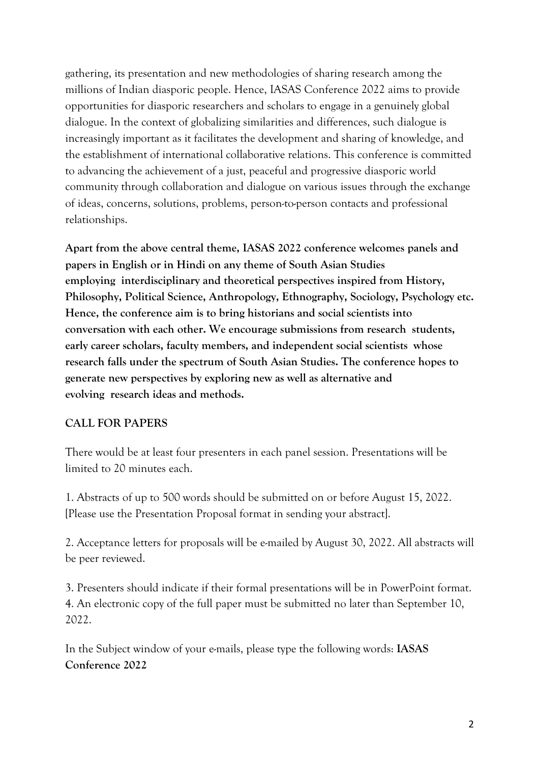gathering, its presentation and new methodologies of sharing research among the millions of Indian diasporic people. Hence, IASAS Conference 2022 aims to provide opportunities for diasporic researchers and scholars to engage in a genuinely global dialogue. In the context of globalizing similarities and differences, such dialogue is increasingly important as it facilitates the development and sharing of knowledge, and the establishment of international collaborative relations. This conference is committed to advancing the achievement of a just, peaceful and progressive diasporic world community through collaboration and dialogue on various issues through the exchange of ideas, concerns, solutions, problems, person-to-person contacts and professional relationships.

**Apart from the above central theme, IASAS 2022 conference welcomes panels and papers in English or in Hindi on any theme of South Asian Studies employing interdisciplinary and theoretical perspectives inspired from History, Philosophy, Political Science, Anthropology, Ethnography, Sociology, Psychology etc. Hence, the conference aim is to bring historians and social scientists into conversation with each other. We encourage submissions from research students, early career scholars, faculty members, and independent social scientists whose research falls under the spectrum of South Asian Studies. The conference hopes to generate new perspectives by exploring new as well as alternative and evolving research ideas and methods.**

## **CALL FOR PAPERS**

There would be at least four presenters in each panel session. Presentations will be limited to 20 minutes each.

1. Abstracts of up to 500 words should be submitted on or before August 15, 2022. [Please use the Presentation Proposal format in sending your abstract].

2. Acceptance letters for proposals will be e-mailed by August 30, 2022. All abstracts will be peer reviewed.

3. Presenters should indicate if their formal presentations will be in PowerPoint format. 4. An electronic copy of the full paper must be submitted no later than September 10, 2022.

In the Subject window of your e-mails, please type the following words: **IASAS Conference 2022**